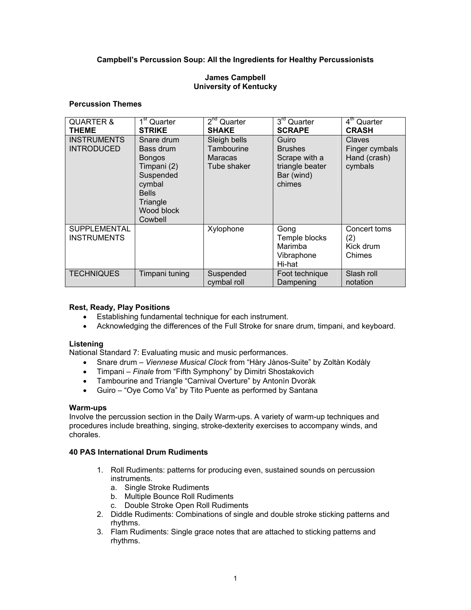# **Campbell's Percussion Soup: All the Ingredients for Healthy Percussionists**

## **James Campbell University of Kentucky**

## **Percussion Themes**

| <b>QUARTER &amp;</b><br><b>THEME</b>    | $1st$ Quarter<br><b>STRIKE</b>                                                                                                      | $2nd$ Quarter<br><b>SHAKE</b>                               | $3rd$ Quarter<br><b>SCRAPE</b>                                                      | $4th$ Quarter<br><b>CRASH</b>                       |
|-----------------------------------------|-------------------------------------------------------------------------------------------------------------------------------------|-------------------------------------------------------------|-------------------------------------------------------------------------------------|-----------------------------------------------------|
| <b>INSTRUMENTS</b><br><b>INTRODUCED</b> | Snare drum<br>Bass drum<br><b>Bongos</b><br>Timpani (2)<br>Suspended<br>cymbal<br><b>Bells</b><br>Triangle<br>Wood block<br>Cowbell | Sleigh bells<br>Tambourine<br><b>Maracas</b><br>Tube shaker | Guiro<br><b>Brushes</b><br>Scrape with a<br>triangle beater<br>Bar (wind)<br>chimes | Claves<br>Finger cymbals<br>Hand (crash)<br>cymbals |
| SUPPLEMENTAL<br><b>INSTRUMENTS</b>      |                                                                                                                                     | Xylophone                                                   | Gong<br>Temple blocks<br>Marimba<br>Vibraphone<br>Hi-hat                            | Concert toms<br>(2)<br>Kick drum<br>Chimes          |
| <b>TECHNIQUES</b>                       | Timpani tuning                                                                                                                      | Suspended<br>cymbal roll                                    | Foot technique<br>Dampening                                                         | Slash roll<br>notation                              |

## **Rest, Ready, Play Positions**

- Establishing fundamental technique for each instrument.
- Acknowledging the differences of the Full Stroke for snare drum, timpani, and keyboard.

## **Listening**

National Standard 7: Evaluating music and music performances.

- Snare drum *Viennese Musical Clock* from "Hàry Jànos-Suite" by Zoltàn Kodàly
- Timpani *Finale* from "Fifth Symphony" by Dimitri Shostakovich
- Tambourine and Triangle "Carnival Overture" by Antonìn Dvoràk
- Guiro "Oye Como Va" by Tito Puente as performed by Santana

## **Warm-ups**

Involve the percussion section in the Daily Warm-ups. A variety of warm-up techniques and procedures include breathing, singing, stroke-dexterity exercises to accompany winds, and chorales.

## **40 PAS International Drum Rudiments**

- 1. Roll Rudiments: patterns for producing even, sustained sounds on percussion instruments.
	- a. Single Stroke Rudiments
	- b. Multiple Bounce Roll Rudiments
	- c. Double Stroke Open Roll Rudiments
- 2. Diddle Rudiments: Combinations of single and double stroke sticking patterns and rhythms.
- 3. Flam Rudiments: Single grace notes that are attached to sticking patterns and rhythms.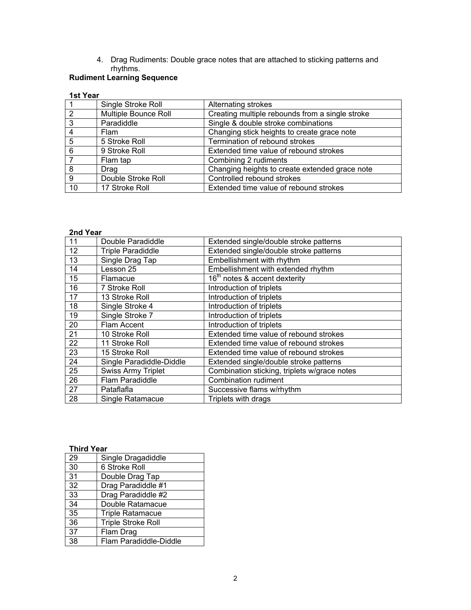4. Drag Rudiments: Double grace notes that are attached to sticking patterns and rhythms.

#### **Rudiment Learning Sequence**

#### **1st Year**

|    | Single Stroke Roll   | Alternating strokes                             |
|----|----------------------|-------------------------------------------------|
| 2  | Multiple Bounce Roll | Creating multiple rebounds from a single stroke |
| 3  | Paradiddle           | Single & double stroke combinations             |
| 4  | <b>Flam</b>          | Changing stick heights to create grace note     |
| 5  | 5 Stroke Roll        | Termination of rebound strokes                  |
| 6  | 9 Stroke Roll        | Extended time value of rebound strokes          |
|    | Flam tap             | Combining 2 rudiments                           |
| 8  | Drag                 | Changing heights to create extended grace note  |
| 9  | Double Stroke Roll   | Controlled rebound strokes                      |
| 10 | 17 Stroke Roll       | Extended time value of rebound strokes          |

## **2nd Year**

| 11 | Double Paradiddle         | Extended single/double stroke patterns       |
|----|---------------------------|----------------------------------------------|
| 12 | <b>Triple Paradiddle</b>  | Extended single/double stroke patterns       |
| 13 | Single Drag Tap           | Embellishment with rhythm                    |
| 14 | Lesson 25                 | Embellishment with extended rhythm           |
| 15 | Flamacue                  | 16 <sup>th</sup> notes & accent dexterity    |
| 16 | 7 Stroke Roll             | Introduction of triplets                     |
| 17 | 13 Stroke Roll            | Introduction of triplets                     |
| 18 | Single Stroke 4           | Introduction of triplets                     |
| 19 | Single Stroke 7           | Introduction of triplets                     |
| 20 | Flam Accent               | Introduction of triplets                     |
| 21 | 10 Stroke Roll            | Extended time value of rebound strokes       |
| 22 | 11 Stroke Roll            | Extended time value of rebound strokes       |
| 23 | 15 Stroke Roll            | Extended time value of rebound strokes       |
| 24 | Single Paradiddle-Diddle  | Extended single/double stroke patterns       |
| 25 | <b>Swiss Army Triplet</b> | Combination sticking, triplets w/grace notes |
| 26 | Flam Paradiddle           | Combination rudiment                         |
| 27 | Pataflafla                | Successive flams w/rhythm                    |
| 28 | <b>Single Ratamacue</b>   | Triplets with drags                          |

## **Third Year**

| 29 | Single Dragadiddle        |
|----|---------------------------|
| 30 | 6 Stroke Roll             |
| 31 | Double Drag Tap           |
| 32 | Drag Paradiddle #1        |
| 33 | Drag Paradiddle #2        |
| 34 | Double Ratamacue          |
| 35 | <b>Triple Ratamacue</b>   |
| 36 | <b>Triple Stroke Roll</b> |
| 37 | Flam Drag                 |
| 38 | Flam Paradiddle-Diddle    |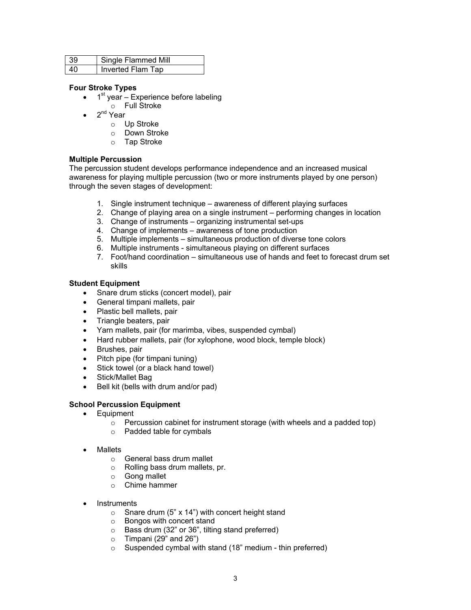| -39 | Single Flammed Mill |
|-----|---------------------|
| 40  | Inverted Flam Tap   |

## **Four Stroke Types**

- $\bullet$  1<sup>st</sup> year Experience before labeling
	- o Full Stroke
	- 2<sup>nd</sup> Year
		- o Up Stroke
		- o Down Stroke
		- o Tap Stroke

## **Multiple Percussion**

The percussion student develops performance independence and an increased musical awareness for playing multiple percussion (two or more instruments played by one person) through the seven stages of development:

- 1. Single instrument technique awareness of different playing surfaces
- 2. Change of playing area on a single instrument performing changes in location
- 3. Change of instruments organizing instrumental set-ups
- 4. Change of implements awareness of tone production
- 5. Multiple implements simultaneous production of diverse tone colors
- 6. Multiple instruments simultaneous playing on different surfaces
- 7. Foot/hand coordination simultaneous use of hands and feet to forecast drum set skills

## **Student Equipment**

- Snare drum sticks (concert model), pair
- General timpani mallets, pair
- Plastic bell mallets, pair
- Triangle beaters, pair
- Yarn mallets, pair (for marimba, vibes, suspended cymbal)
- Hard rubber mallets, pair (for xylophone, wood block, temple block)
- Brushes, pair
- Pitch pipe (for timpani tuning)
- Stick towel (or a black hand towel)
- Stick/Mallet Bag
- Bell kit (bells with drum and/or pad)

## **School Percussion Equipment**

- Equipment
	- $\circ$  Percussion cabinet for instrument storage (with wheels and a padded top)
	- o Padded table for cymbals
- **Mallets** 
	- o General bass drum mallet
	- o Rolling bass drum mallets, pr.
	- o Gong mallet
	- $\circ$  Chime hammer
- **Instruments** 
	- $\circ$  Snare drum (5" x 14") with concert height stand
	- o Bongos with concert stand
	- o Bass drum (32" or 36", tilting stand preferred)
	- $\circ$  Timpani (29" and 26")
	- o Suspended cymbal with stand (18" medium thin preferred)